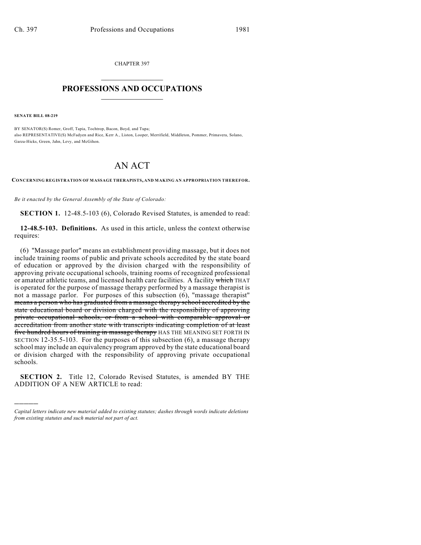CHAPTER 397  $\mathcal{L}_\text{max}$  . The set of the set of the set of the set of the set of the set of the set of the set of the set of the set of the set of the set of the set of the set of the set of the set of the set of the set of the set

## **PROFESSIONS AND OCCUPATIONS**  $\frac{1}{2}$  ,  $\frac{1}{2}$  ,  $\frac{1}{2}$  ,  $\frac{1}{2}$  ,  $\frac{1}{2}$  ,  $\frac{1}{2}$

**SENATE BILL 08-219**

)))))

BY SENATOR(S) Romer, Groff, Tapia, Tochtrop, Bacon, Boyd, and Tupa; also REPRESENTATIVE(S) McFadyen and Rice, Kerr A., Liston, Looper, Merrifield, Middleton, Pommer, Primavera, Solano, Garza-Hicks, Green, Jahn, Levy, and McGihon.

## AN ACT

**CONCERNING REGISTRATION OF MASSAGE THERAPISTS, AND MAKING AN APPROPRIATION THEREFOR.**

*Be it enacted by the General Assembly of the State of Colorado:*

**SECTION 1.** 12-48.5-103 (6), Colorado Revised Statutes, is amended to read:

**12-48.5-103. Definitions.** As used in this article, unless the context otherwise requires:

(6) "Massage parlor" means an establishment providing massage, but it does not include training rooms of public and private schools accredited by the state board of education or approved by the division charged with the responsibility of approving private occupational schools, training rooms of recognized professional or amateur athletic teams, and licensed health care facilities. A facility which THAT is operated for the purpose of massage therapy performed by a massage therapist is not a massage parlor. For purposes of this subsection (6), "massage therapist" means a person who has graduated from a massage therapy school accredited by the state educational board or division charged with the responsibility of approving private occupational schools, or from a school with comparable approval or accreditation from another state with transcripts indicating completion of at least five hundred hours of training in massage therapy HAS THE MEANING SET FORTH IN SECTION 12-35.5-103. For the purposes of this subsection (6), a massage therapy school may include an equivalency program approved by the state educational board or division charged with the responsibility of approving private occupational schools.

**SECTION 2.** Title 12, Colorado Revised Statutes, is amended BY THE ADDITION OF A NEW ARTICLE to read:

*Capital letters indicate new material added to existing statutes; dashes through words indicate deletions from existing statutes and such material not part of act.*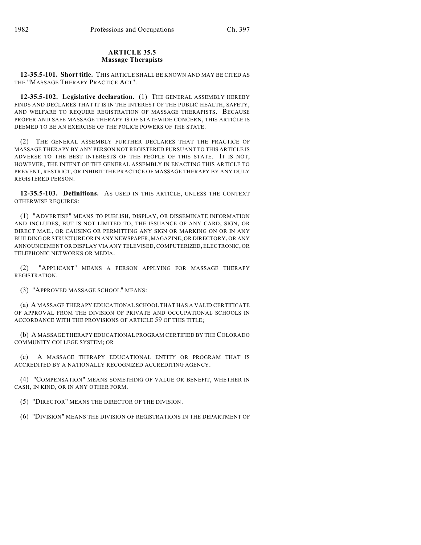## **ARTICLE 35.5 Massage Therapists**

**12-35.5-101. Short title.** THIS ARTICLE SHALL BE KNOWN AND MAY BE CITED AS THE "MASSAGE THERAPY PRACTICE ACT".

**12-35.5-102. Legislative declaration.** (1) THE GENERAL ASSEMBLY HEREBY FINDS AND DECLARES THAT IT IS IN THE INTEREST OF THE PUBLIC HEALTH, SAFETY, AND WELFARE TO REQUIRE REGISTRATION OF MASSAGE THERAPISTS. BECAUSE PROPER AND SAFE MASSAGE THERAPY IS OF STATEWIDE CONCERN, THIS ARTICLE IS DEEMED TO BE AN EXERCISE OF THE POLICE POWERS OF THE STATE.

(2) THE GENERAL ASSEMBLY FURTHER DECLARES THAT THE PRACTICE OF MASSAGE THERAPY BY ANY PERSON NOT REGISTERED PURSUANT TO THIS ARTICLE IS ADVERSE TO THE BEST INTERESTS OF THE PEOPLE OF THIS STATE. IT IS NOT, HOWEVER, THE INTENT OF THE GENERAL ASSEMBLY IN ENACTING THIS ARTICLE TO PREVENT, RESTRICT, OR INHIBIT THE PRACTICE OF MASSAGE THERAPY BY ANY DULY REGISTERED PERSON.

**12-35.5-103. Definitions.** AS USED IN THIS ARTICLE, UNLESS THE CONTEXT OTHERWISE REQUIRES:

(1) "ADVERTISE" MEANS TO PUBLISH, DISPLAY, OR DISSEMINATE INFORMATION AND INCLUDES, BUT IS NOT LIMITED TO, THE ISSUANCE OF ANY CARD, SIGN, OR DIRECT MAIL, OR CAUSING OR PERMITTING ANY SIGN OR MARKING ON OR IN ANY BUILDING OR STRUCTURE OR IN ANY NEWSPAPER, MAGAZINE, OR DIRECTORY, OR ANY ANNOUNCEMENT OR DISPLAY VIA ANY TELEVISED, COMPUTERIZED, ELECTRONIC, OR TELEPHONIC NETWORKS OR MEDIA.

(2) "APPLICANT" MEANS A PERSON APPLYING FOR MASSAGE THERAPY REGISTRATION.

(3) "APPROVED MASSAGE SCHOOL" MEANS:

(a) A MASSAGE THERAPY EDUCATIONAL SCHOOL THAT HAS A VALID CERTIFICATE OF APPROVAL FROM THE DIVISION OF PRIVATE AND OCCUPATIONAL SCHOOLS IN ACCORDANCE WITH THE PROVISIONS OF ARTICLE 59 OF THIS TITLE;

(b) A MASSAGE THERAPY EDUCATIONAL PROGRAM CERTIFIED BY THE COLORADO COMMUNITY COLLEGE SYSTEM; OR

(c) A MASSAGE THERAPY EDUCATIONAL ENTITY OR PROGRAM THAT IS ACCREDITED BY A NATIONALLY RECOGNIZED ACCREDITING AGENCY.

(4) "COMPENSATION" MEANS SOMETHING OF VALUE OR BENEFIT, WHETHER IN CASH, IN KIND, OR IN ANY OTHER FORM.

(5) "DIRECTOR" MEANS THE DIRECTOR OF THE DIVISION.

(6) "DIVISION" MEANS THE DIVISION OF REGISTRATIONS IN THE DEPARTMENT OF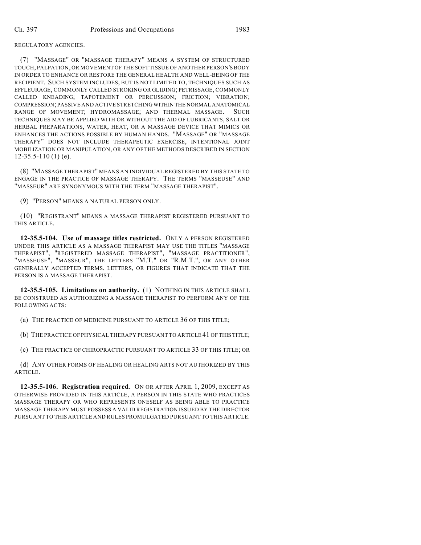## REGULATORY AGENCIES.

(7) "MASSAGE" OR "MASSAGE THERAPY" MEANS A SYSTEM OF STRUCTURED TOUCH, PALPATION, OR MOVEMENT OF THE SOFT TISSUE OF ANOTHER PERSON'S BODY IN ORDER TO ENHANCE OR RESTORE THE GENERAL HEALTH AND WELL-BEING OF THE RECIPIENT. SUCH SYSTEM INCLUDES, BUT IS NOT LIMITED TO, TECHNIQUES SUCH AS EFFLEURAGE, COMMONLY CALLED STROKING OR GLIDING; PETRISSAGE, COMMONLY CALLED KNEADING; TAPOTEMENT OR PERCUSSION; FRICTION; VIBRATION; COMPRESSION; PASSIVE AND ACTIVE STRETCHING WITHIN THE NORMAL ANATOMICAL RANGE OF MOVEMENT; HYDROMASSAGE; AND THERMAL MASSAGE. SUCH TECHNIQUES MAY BE APPLIED WITH OR WITHOUT THE AID OF LUBRICANTS, SALT OR HERBAL PREPARATIONS, WATER, HEAT, OR A MASSAGE DEVICE THAT MIMICS OR ENHANCES THE ACTIONS POSSIBLE BY HUMAN HANDS. "MASSAGE" OR "MASSAGE THERAPY" DOES NOT INCLUDE THERAPEUTIC EXERCISE, INTENTIONAL JOINT MOBILIZATION OR MANIPULATION, OR ANY OF THE METHODS DESCRIBED IN SECTION  $12-35.5-110(1)$  (e).

(8) "MASSAGE THERAPIST" MEANS AN INDIVIDUAL REGISTERED BY THIS STATE TO ENGAGE IN THE PRACTICE OF MASSAGE THERAPY. THE TERMS "MASSEUSE" AND "MASSEUR" ARE SYNONYMOUS WITH THE TERM "MASSAGE THERAPIST".

(9) "PERSON" MEANS A NATURAL PERSON ONLY.

(10) "REGISTRANT" MEANS A MASSAGE THERAPIST REGISTERED PURSUANT TO THIS ARTICLE.

**12-35.5-104. Use of massage titles restricted.** ONLY A PERSON REGISTERED UNDER THIS ARTICLE AS A MASSAGE THERAPIST MAY USE THE TITLES "MASSAGE THERAPIST", "REGISTERED MASSAGE THERAPIST", "MASSAGE PRACTITIONER", "MASSEUSE", "MASSEUR", THE LETTERS "M.T." OR "R.M.T.", OR ANY OTHER GENERALLY ACCEPTED TERMS, LETTERS, OR FIGURES THAT INDICATE THAT THE PERSON IS A MASSAGE THERAPIST.

**12-35.5-105. Limitations on authority.** (1) NOTHING IN THIS ARTICLE SHALL BE CONSTRUED AS AUTHORIZING A MASSAGE THERAPIST TO PERFORM ANY OF THE FOLLOWING ACTS:

(a) THE PRACTICE OF MEDICINE PURSUANT TO ARTICLE 36 OF THIS TITLE;

(b) THE PRACTICE OF PHYSICAL THERAPY PURSUANT TO ARTICLE 41 OF THIS TITLE;

(c) THE PRACTICE OF CHIROPRACTIC PURSUANT TO ARTICLE 33 OF THIS TITLE; OR

(d) ANY OTHER FORMS OF HEALING OR HEALING ARTS NOT AUTHORIZED BY THIS ARTICLE.

**12-35.5-106. Registration required.** ON OR AFTER APRIL 1, 2009, EXCEPT AS OTHERWISE PROVIDED IN THIS ARTICLE, A PERSON IN THIS STATE WHO PRACTICES MASSAGE THERAPY OR WHO REPRESENTS ONESELF AS BEING ABLE TO PRACTICE MASSAGE THERAPY MUST POSSESS A VALID REGISTRATION ISSUED BY THE DIRECTOR PURSUANT TO THIS ARTICLE AND RULES PROMULGATED PURSUANT TO THIS ARTICLE.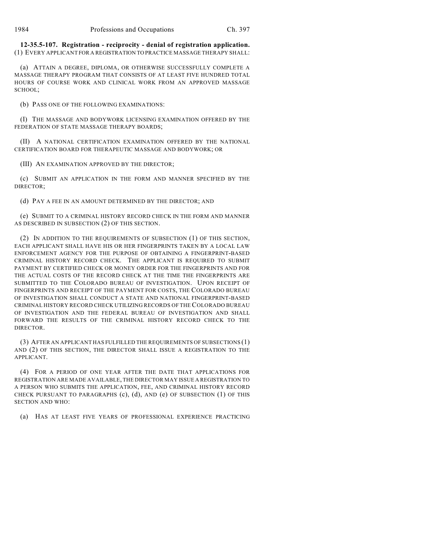**12-35.5-107. Registration - reciprocity - denial of registration application.** (1) EVERY APPLICANT FOR A REGISTRATION TO PRACTICE MASSAGE THERAPY SHALL:

(a) ATTAIN A DEGREE, DIPLOMA, OR OTHERWISE SUCCESSFULLY COMPLETE A MASSAGE THERAPY PROGRAM THAT CONSISTS OF AT LEAST FIVE HUNDRED TOTAL HOURS OF COURSE WORK AND CLINICAL WORK FROM AN APPROVED MASSAGE SCHOOL;

(b) PASS ONE OF THE FOLLOWING EXAMINATIONS:

(I) THE MASSAGE AND BODYWORK LICENSING EXAMINATION OFFERED BY THE FEDERATION OF STATE MASSAGE THERAPY BOARDS;

(II) A NATIONAL CERTIFICATION EXAMINATION OFFERED BY THE NATIONAL CERTIFICATION BOARD FOR THERAPEUTIC MASSAGE AND BODYWORK; OR

(III) AN EXAMINATION APPROVED BY THE DIRECTOR;

(c) SUBMIT AN APPLICATION IN THE FORM AND MANNER SPECIFIED BY THE DIRECTOR;

(d) PAY A FEE IN AN AMOUNT DETERMINED BY THE DIRECTOR; AND

(e) SUBMIT TO A CRIMINAL HISTORY RECORD CHECK IN THE FORM AND MANNER AS DESCRIBED IN SUBSECTION (2) OF THIS SECTION.

(2) IN ADDITION TO THE REQUIREMENTS OF SUBSECTION (1) OF THIS SECTION, EACH APPLICANT SHALL HAVE HIS OR HER FINGERPRINTS TAKEN BY A LOCAL LAW ENFORCEMENT AGENCY FOR THE PURPOSE OF OBTAINING A FINGERPRINT-BASED CRIMINAL HISTORY RECORD CHECK. THE APPLICANT IS REQUIRED TO SUBMIT PAYMENT BY CERTIFIED CHECK OR MONEY ORDER FOR THE FINGERPRINTS AND FOR THE ACTUAL COSTS OF THE RECORD CHECK AT THE TIME THE FINGERPRINTS ARE SUBMITTED TO THE COLORADO BUREAU OF INVESTIGATION. UPON RECEIPT OF FINGERPRINTS AND RECEIPT OF THE PAYMENT FOR COSTS, THE COLORADO BUREAU OF INVESTIGATION SHALL CONDUCT A STATE AND NATIONAL FINGERPRINT-BASED CRIMINAL HISTORY RECORD CHECK UTILIZING RECORDS OF THE COLORADO BUREAU OF INVESTIGATION AND THE FEDERAL BUREAU OF INVESTIGATION AND SHALL FORWARD THE RESULTS OF THE CRIMINAL HISTORY RECORD CHECK TO THE DIRECTOR.

(3) AFTER AN APPLICANT HAS FULFILLED THE REQUIREMENTS OF SUBSECTIONS (1) AND (2) OF THIS SECTION, THE DIRECTOR SHALL ISSUE A REGISTRATION TO THE APPLICANT.

(4) FOR A PERIOD OF ONE YEAR AFTER THE DATE THAT APPLICATIONS FOR REGISTRATION ARE MADE AVAILABLE, THE DIRECTOR MAY ISSUE A REGISTRATION TO A PERSON WHO SUBMITS THE APPLICATION, FEE, AND CRIMINAL HISTORY RECORD CHECK PURSUANT TO PARAGRAPHS (c), (d), AND (e) OF SUBSECTION (1) OF THIS SECTION AND WHO:

(a) HAS AT LEAST FIVE YEARS OF PROFESSIONAL EXPERIENCE PRACTICING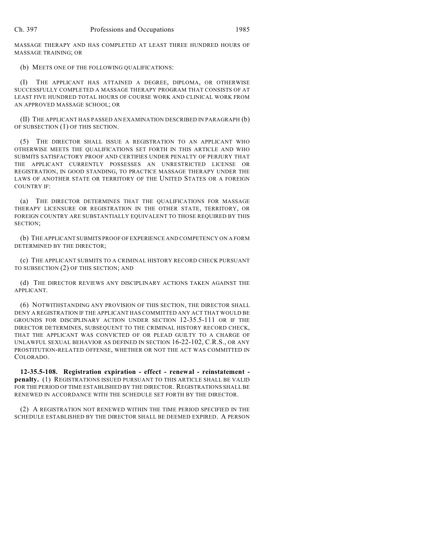MASSAGE THERAPY AND HAS COMPLETED AT LEAST THREE HUNDRED HOURS OF MASSAGE TRAINING; OR

(b) MEETS ONE OF THE FOLLOWING QUALIFICATIONS:

(I) THE APPLICANT HAS ATTAINED A DEGREE, DIPLOMA, OR OTHERWISE SUCCESSFULLY COMPLETED A MASSAGE THERAPY PROGRAM THAT CONSISTS OF AT LEAST FIVE HUNDRED TOTAL HOURS OF COURSE WORK AND CLINICAL WORK FROM AN APPROVED MASSAGE SCHOOL; OR

(II) THE APPLICANT HAS PASSED AN EXAMINATION DESCRIBED IN PARAGRAPH (b) OF SUBSECTION (1) OF THIS SECTION.

(5) THE DIRECTOR SHALL ISSUE A REGISTRATION TO AN APPLICANT WHO OTHERWISE MEETS THE QUALIFICATIONS SET FORTH IN THIS ARTICLE AND WHO SUBMITS SATISFACTORY PROOF AND CERTIFIES UNDER PENALTY OF PERJURY THAT THE APPLICANT CURRENTLY POSSESSES AN UNRESTRICTED LICENSE OR REGISTRATION, IN GOOD STANDING, TO PRACTICE MASSAGE THERAPY UNDER THE LAWS OF ANOTHER STATE OR TERRITORY OF THE UNITED STATES OR A FOREIGN COUNTRY IF:

(a) THE DIRECTOR DETERMINES THAT THE QUALIFICATIONS FOR MASSAGE THERAPY LICENSURE OR REGISTRATION IN THE OTHER STATE, TERRITORY, OR FOREIGN COUNTRY ARE SUBSTANTIALLY EQUIVALENT TO THOSE REQUIRED BY THIS SECTION;

(b) THE APPLICANT SUBMITS PROOF OF EXPERIENCE AND COMPETENCY ON A FORM DETERMINED BY THE DIRECTOR;

(c) THE APPLICANT SUBMITS TO A CRIMINAL HISTORY RECORD CHECK PURSUANT TO SUBSECTION (2) OF THIS SECTION; AND

(d) THE DIRECTOR REVIEWS ANY DISCIPLINARY ACTIONS TAKEN AGAINST THE APPLICANT.

(6) NOTWITHSTANDING ANY PROVISION OF THIS SECTION, THE DIRECTOR SHALL DENY A REGISTRATION IF THE APPLICANT HAS COMMITTED ANY ACT THAT WOULD BE GROUNDS FOR DISCIPLINARY ACTION UNDER SECTION 12-35.5-111 OR IF THE DIRECTOR DETERMINES, SUBSEQUENT TO THE CRIMINAL HISTORY RECORD CHECK, THAT THE APPLICANT WAS CONVICTED OF OR PLEAD GUILTY TO A CHARGE OF UNLAWFUL SEXUAL BEHAVIOR AS DEFINED IN SECTION 16-22-102, C.R.S., OR ANY PROSTITUTION-RELATED OFFENSE, WHETHER OR NOT THE ACT WAS COMMITTED IN COLORADO.

**12-35.5-108. Registration expiration - effect - renewal - reinstatement penalty.** (1) REGISTRATIONS ISSUED PURSUANT TO THIS ARTICLE SHALL BE VALID FOR THE PERIOD OF TIME ESTABLISHED BY THE DIRECTOR. REGISTRATIONS SHALL BE RENEWED IN ACCORDANCE WITH THE SCHEDULE SET FORTH BY THE DIRECTOR.

(2) A REGISTRATION NOT RENEWED WITHIN THE TIME PERIOD SPECIFIED IN THE SCHEDULE ESTABLISHED BY THE DIRECTOR SHALL BE DEEMED EXPIRED. A PERSON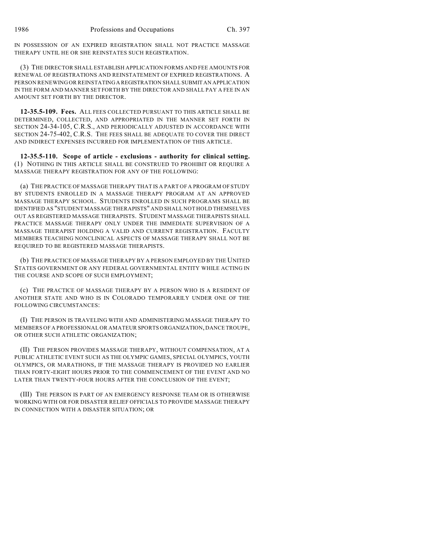IN POSSESSION OF AN EXPIRED REGISTRATION SHALL NOT PRACTICE MASSAGE THERAPY UNTIL HE OR SHE REINSTATES SUCH REGISTRATION.

(3) THE DIRECTOR SHALL ESTABLISH APPLICATION FORMS AND FEE AMOUNTS FOR RENEWAL OF REGISTRATIONS AND REINSTATEMENT OF EXPIRED REGISTRATIONS. A PERSON RENEWING OR REINSTATING A REGISTRATION SHALL SUBMIT AN APPLICATION IN THE FORM AND MANNER SET FORTH BY THE DIRECTOR AND SHALL PAY A FEE IN AN AMOUNT SET FORTH BY THE DIRECTOR.

**12-35.5-109. Fees.** ALL FEES COLLECTED PURSUANT TO THIS ARTICLE SHALL BE DETERMINED, COLLECTED, AND APPROPRIATED IN THE MANNER SET FORTH IN SECTION 24-34-105, C.R.S., AND PERIODICALLY ADJUSTED IN ACCORDANCE WITH SECTION 24-75-402, C.R.S. THE FEES SHALL BE ADEQUATE TO COVER THE DIRECT AND INDIRECT EXPENSES INCURRED FOR IMPLEMENTATION OF THIS ARTICLE.

**12-35.5-110. Scope of article - exclusions - authority for clinical setting.** (1) NOTHING IN THIS ARTICLE SHALL BE CONSTRUED TO PROHIBIT OR REQUIRE A MASSAGE THERAPY REGISTRATION FOR ANY OF THE FOLLOWING:

(a) THE PRACTICE OF MASSAGE THERAPY THAT IS A PART OF A PROGRAM OF STUDY BY STUDENTS ENROLLED IN A MASSAGE THERAPY PROGRAM AT AN APPROVED MASSAGE THERAPY SCHOOL. STUDENTS ENROLLED IN SUCH PROGRAMS SHALL BE IDENTIFIED AS "STUDENT MASSAGE THERAPISTS" AND SHALL NOT HOLD THEMSELVES OUT AS REGISTERED MASSAGE THERAPISTS. STUDENT MASSAGE THERAPISTS SHALL PRACTICE MASSAGE THERAPY ONLY UNDER THE IMMEDIATE SUPERVISION OF A MASSAGE THERAPIST HOLDING A VALID AND CURRENT REGISTRATION. FACULTY MEMBERS TEACHING NONCLINICAL ASPECTS OF MASSAGE THERAPY SHALL NOT BE REQUIRED TO BE REGISTERED MASSAGE THERAPISTS.

(b) THE PRACTICE OF MASSAGE THERAPY BY A PERSON EMPLOYED BY THE UNITED STATES GOVERNMENT OR ANY FEDERAL GOVERNMENTAL ENTITY WHILE ACTING IN THE COURSE AND SCOPE OF SUCH EMPLOYMENT;

(c) THE PRACTICE OF MASSAGE THERAPY BY A PERSON WHO IS A RESIDENT OF ANOTHER STATE AND WHO IS IN COLORADO TEMPORARILY UNDER ONE OF THE FOLLOWING CIRCUMSTANCES:

(I) THE PERSON IS TRAVELING WITH AND ADMINISTERING MASSAGE THERAPY TO MEMBERS OF A PROFESSIONAL OR AMATEUR SPORTS ORGANIZATION, DANCE TROUPE, OR OTHER SUCH ATHLETIC ORGANIZATION;

(II) THE PERSON PROVIDES MASSAGE THERAPY, WITHOUT COMPENSATION, AT A PUBLIC ATHLETIC EVENT SUCH AS THE OLYMPIC GAMES, SPECIAL OLYMPICS, YOUTH OLYMPICS, OR MARATHONS, IF THE MASSAGE THERAPY IS PROVIDED NO EARLIER THAN FORTY-EIGHT HOURS PRIOR TO THE COMMENCEMENT OF THE EVENT AND NO LATER THAN TWENTY-FOUR HOURS AFTER THE CONCLUSION OF THE EVENT;

(III) THE PERSON IS PART OF AN EMERGENCY RESPONSE TEAM OR IS OTHERWISE WORKING WITH OR FOR DISASTER RELIEF OFFICIALS TO PROVIDE MASSAGE THERAPY IN CONNECTION WITH A DISASTER SITUATION; OR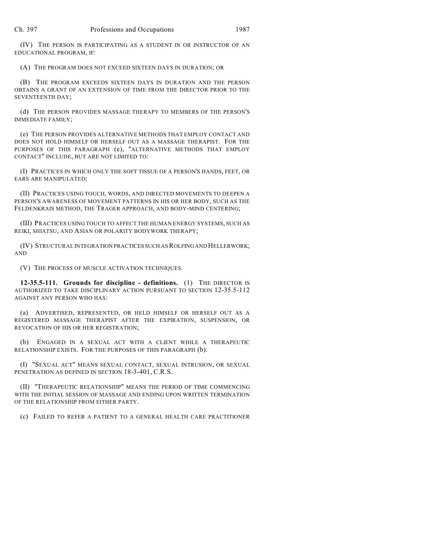(IV) THE PERSON IS PARTICIPATING AS A STUDENT IN OR INSTRUCTOR OF AN EDUCATIONAL PROGRAM, IF:

(A) THE PROGRAM DOES NOT EXCEED SIXTEEN DAYS IN DURATION; OR

(B) THE PROGRAM EXCEEDS SIXTEEN DAYS IN DURATION AND THE PERSON OBTAINS A GRANT OF AN EXTENSION OF TIME FROM THE DIRECTOR PRIOR TO THE SEVENTEENTH DAY;

(d) THE PERSON PROVIDES MASSAGE THERAPY TO MEMBERS OF THE PERSON'S IMMEDIATE FAMILY;

(e) THE PERSON PROVIDES ALTERNATIVE METHODS THAT EMPLOY CONTACT AND DOES NOT HOLD HIMSELF OR HERSELF OUT AS A MASSAGE THERAPIST. FOR THE PURPOSES OF THIS PARAGRAPH (e), "ALTERNATIVE METHODS THAT EMPLOY CONTACT" INCLUDE, BUT ARE NOT LIMITED TO:

(I) PRACTICES IN WHICH ONLY THE SOFT TISSUE OF A PERSON'S HANDS, FEET, OR EARS ARE MANIPULATED;

(II) PRACTICES USING TOUCH, WORDS, AND DIRECTED MOVEMENTS TO DEEPEN A PERSON'S AWARENESS OF MOVEMENT PATTERNS IN HIS OR HER BODY, SUCH AS THE FELDENKRAIS METHOD, THE TRAGER APPROACH, AND BODY-MIND CENTERING;

(III) PRACTICES USING TOUCH TO AFFECT THE HUMAN ENERGY SYSTEMS, SUCH AS REIKI, SHIATSU, AND ASIAN OR POLARITY BODYWORK THERAPY;

(IV) STRUCTURAL INTEGRATION PRACTICES SUCH AS ROLFING AND HELLERWORK; AND

(V) THE PROCESS OF MUSCLE ACTIVATION TECHNIQUES.

**12-35.5-111. Grounds for discipline - definitions.** (1) THE DIRECTOR IS AUTHORIZED TO TAKE DISCIPLINARY ACTION PURSUANT TO SECTION 12-35.5-112 AGAINST ANY PERSON WHO HAS:

(a) ADVERTISED, REPRESENTED, OR HELD HIMSELF OR HERSELF OUT AS A REGISTERED MASSAGE THERAPIST AFTER THE EXPIRATION, SUSPENSION, OR REVOCATION OF HIS OR HER REGISTRATION;

(b) ENGAGED IN A SEXUAL ACT WITH A CLIENT WHILE A THERAPEUTIC RELATIONSHIP EXISTS. FOR THE PURPOSES OF THIS PARAGRAPH (b):

(I) "SEXUAL ACT" MEANS SEXUAL CONTACT, SEXUAL INTRUSION, OR SEXUAL PENETRATION AS DEFINED IN SECTION 18-3-401, C.R.S.

(II) "THERAPEUTIC RELATIONSHIP" MEANS THE PERIOD OF TIME COMMENCING WITH THE INITIAL SESSION OF MASSAGE AND ENDING UPON WRITTEN TERMINATION OF THE RELATIONSHIP FROM EITHER PARTY.

(c) FAILED TO REFER A PATIENT TO A GENERAL HEALTH CARE PRACTITIONER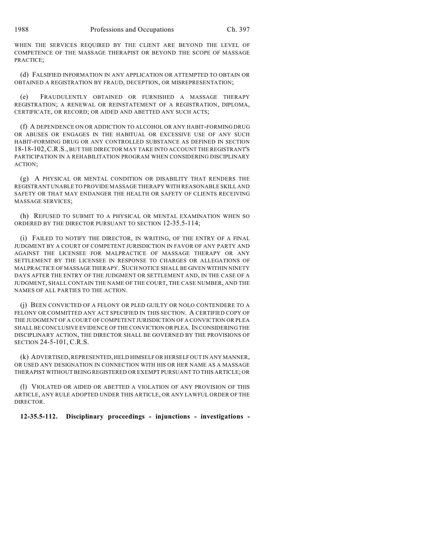WHEN THE SERVICES REQUIRED BY THE CLIENT ARE BEYOND THE LEVEL OF COMPETENCE OF THE MASSAGE THERAPIST OR BEYOND THE SCOPE OF MASSAGE PRACTICE;

(d) FALSIFIED INFORMATION IN ANY APPLICATION OR ATTEMPTED TO OBTAIN OR OBTAINED A REGISTRATION BY FRAUD, DECEPTION, OR MISREPRESENTATION;

(e) FRAUDULENTLY OBTAINED OR FURNISHED A MASSAGE THERAPY REGISTRATION; A RENEWAL OR REINSTATEMENT OF A REGISTRATION, DIPLOMA, CERTIFICATE, OR RECORD; OR AIDED AND ABETTED ANY SUCH ACTS;

(f) A DEPENDENCE ON OR ADDICTION TO ALCOHOL OR ANY HABIT-FORMING DRUG OR ABUSES OR ENGAGES IN THE HABITUAL OR EXCESSIVE USE OF ANY SUCH HABIT-FORMING DRUG OR ANY CONTROLLED SUBSTANCE AS DEFINED IN SECTION 18-18-102,C.R.S., BUT THE DIRECTOR MAY TAKE INTO ACCOUNT THE REGISTRANT'S PARTICIPATION IN A REHABILITATION PROGRAM WHEN CONSIDERING DISCIPLINARY ACTION;

(g) A PHYSICAL OR MENTAL CONDITION OR DISABILITY THAT RENDERS THE REGISTRANT UNABLE TO PROVIDE MASSAGE THERAPY WITH REASONABLE SKILL AND SAFETY OR THAT MAY ENDANGER THE HEALTH OR SAFETY OF CLIENTS RECEIVING MASSAGE SERVICES;

(h) REFUSED TO SUBMIT TO A PHYSICAL OR MENTAL EXAMINATION WHEN SO ORDERED BY THE DIRECTOR PURSUANT TO SECTION 12-35.5-114;

(i) FAILED TO NOTIFY THE DIRECTOR, IN WRITING, OF THE ENTRY OF A FINAL JUDGMENT BY A COURT OF COMPETENT JURISDICTION IN FAVOR OF ANY PARTY AND AGAINST THE LICENSEE FOR MALPRACTICE OF MASSAGE THERAPY OR ANY SETTLEMENT BY THE LICENSEE IN RESPONSE TO CHARGES OR ALLEGATIONS OF MALPRACTICE OF MASSAGE THERAPY. SUCH NOTICE SHALL BE GIVEN WITHIN NINETY DAYS AFTER THE ENTRY OF THE JUDGMENT OR SETTLEMENT AND, IN THE CASE OF A JUDGMENT, SHALL CONTAIN THE NAME OF THE COURT, THE CASE NUMBER, AND THE NAMES OF ALL PARTIES TO THE ACTION.

(j) BEEN CONVICTED OF A FELONY OR PLED GUILTY OR NOLO CONTENDERE TO A FELONY OR COMMITTED ANY ACT SPECIFIED IN THIS SECTION. A CERTIFIED COPY OF THE JUDGMENT OF A COURT OF COMPETENT JURISDICTION OF A CONVICTION OR PLEA SHALL BE CONCLUSIVE EVIDENCE OF THE CONVICTION OR PLEA. IN CONSIDERING THE DISCIPLINARY ACTION, THE DIRECTOR SHALL BE GOVERNED BY THE PROVISIONS OF SECTION 24-5-101, C.R.S.

(k) ADVERTISED, REPRESENTED, HELD HIMSELF OR HERSELF OUT IN ANY MANNER, OR USED ANY DESIGNATION IN CONNECTION WITH HIS OR HER NAME AS A MASSAGE THERAPIST WITHOUT BEING REGISTERED OR EXEMPT PURSUANT TO THIS ARTICLE; OR

(l) VIOLATED OR AIDED OR ABETTED A VIOLATION OF ANY PROVISION OF THIS ARTICLE, ANY RULE ADOPTED UNDER THIS ARTICLE, OR ANY LAWFUL ORDER OF THE DIRECTOR.

**12-35.5-112. Disciplinary proceedings - injunctions - investigations -**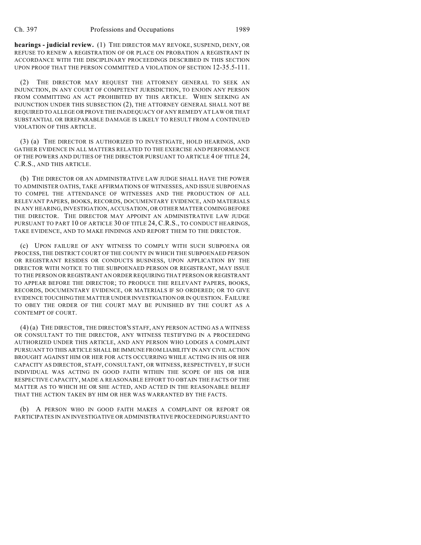**hearings - judicial review.** (1) THE DIRECTOR MAY REVOKE, SUSPEND, DENY, OR REFUSE TO RENEW A REGISTRATION OF OR PLACE ON PROBATION A REGISTRANT IN ACCORDANCE WITH THE DISCIPLINARY PROCEEDINGS DESCRIBED IN THIS SECTION UPON PROOF THAT THE PERSON COMMITTED A VIOLATION OF SECTION 12-35.5-111.

(2) THE DIRECTOR MAY REQUEST THE ATTORNEY GENERAL TO SEEK AN INJUNCTION, IN ANY COURT OF COMPETENT JURISDICTION, TO ENJOIN ANY PERSON FROM COMMITTING AN ACT PROHIBITED BY THIS ARTICLE. WHEN SEEKING AN INJUNCTION UNDER THIS SUBSECTION (2), THE ATTORNEY GENERAL SHALL NOT BE REQUIRED TO ALLEGE OR PROVE THE INADEQUACY OF ANY REMEDY AT LAW OR THAT SUBSTANTIAL OR IRREPARABLE DAMAGE IS LIKELY TO RESULT FROM A CONTINUED VIOLATION OF THIS ARTICLE.

(3) (a) THE DIRECTOR IS AUTHORIZED TO INVESTIGATE, HOLD HEARINGS, AND GATHER EVIDENCE IN ALL MATTERS RELATED TO THE EXERCISE AND PERFORMANCE OF THE POWERS AND DUTIES OF THE DIRECTOR PURSUANT TO ARTICLE 4 OF TITLE 24, C.R.S., AND THIS ARTICLE.

(b) THE DIRECTOR OR AN ADMINISTRATIVE LAW JUDGE SHALL HAVE THE POWER TO ADMINISTER OATHS, TAKE AFFIRMATIONS OF WITNESSES, AND ISSUE SUBPOENAS TO COMPEL THE ATTENDANCE OF WITNESSES AND THE PRODUCTION OF ALL RELEVANT PAPERS, BOOKS, RECORDS, DOCUMENTARY EVIDENCE, AND MATERIALS IN ANY HEARING, INVESTIGATION, ACCUSATION, OR OTHER MATTER COMING BEFORE THE DIRECTOR. THE DIRECTOR MAY APPOINT AN ADMINISTRATIVE LAW JUDGE PURSUANT TO PART 10 OF ARTICLE 30 OF TITLE 24, C.R.S., TO CONDUCT HEARINGS, TAKE EVIDENCE, AND TO MAKE FINDINGS AND REPORT THEM TO THE DIRECTOR.

(c) UPON FAILURE OF ANY WITNESS TO COMPLY WITH SUCH SUBPOENA OR PROCESS, THE DISTRICT COURT OF THE COUNTY IN WHICH THE SUBPOENAED PERSON OR REGISTRANT RESIDES OR CONDUCTS BUSINESS, UPON APPLICATION BY THE DIRECTOR WITH NOTICE TO THE SUBPOENAED PERSON OR REGISTRANT, MAY ISSUE TO THE PERSON OR REGISTRANT AN ORDER REQUIRING THAT PERSON OR REGISTRANT TO APPEAR BEFORE THE DIRECTOR; TO PRODUCE THE RELEVANT PAPERS, BOOKS, RECORDS, DOCUMENTARY EVIDENCE, OR MATERIALS IF SO ORDERED; OR TO GIVE EVIDENCE TOUCHING THE MATTER UNDER INVESTIGATION OR IN QUESTION. FAILURE TO OBEY THE ORDER OF THE COURT MAY BE PUNISHED BY THE COURT AS A CONTEMPT OF COURT.

(4) (a) THE DIRECTOR, THE DIRECTOR'S STAFF, ANY PERSON ACTING AS A WITNESS OR CONSULTANT TO THE DIRECTOR, ANY WITNESS TESTIFYING IN A PROCEEDING AUTHORIZED UNDER THIS ARTICLE, AND ANY PERSON WHO LODGES A COMPLAINT PURSUANT TO THIS ARTICLE SHALL BE IMMUNE FROM LIABILITY IN ANY CIVIL ACTION BROUGHT AGAINST HIM OR HER FOR ACTS OCCURRING WHILE ACTING IN HIS OR HER CAPACITY AS DIRECTOR, STAFF, CONSULTANT, OR WITNESS, RESPECTIVELY, IF SUCH INDIVIDUAL WAS ACTING IN GOOD FAITH WITHIN THE SCOPE OF HIS OR HER RESPECTIVE CAPACITY, MADE A REASONABLE EFFORT TO OBTAIN THE FACTS OF THE MATTER AS TO WHICH HE OR SHE ACTED, AND ACTED IN THE REASONABLE BELIEF THAT THE ACTION TAKEN BY HIM OR HER WAS WARRANTED BY THE FACTS.

(b) A PERSON WHO IN GOOD FAITH MAKES A COMPLAINT OR REPORT OR PARTICIPATES IN AN INVESTIGATIVE OR ADMINISTRATIVE PROCEEDING PURSUANT TO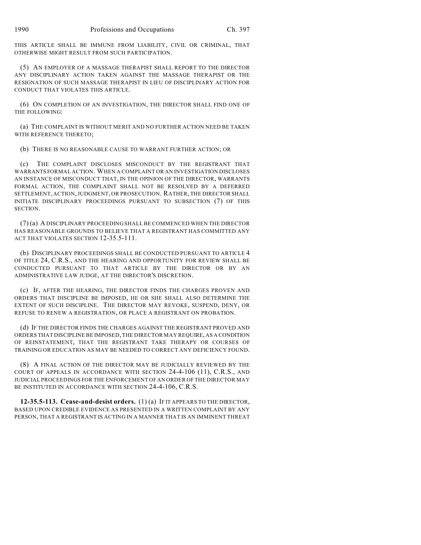THIS ARTICLE SHALL BE IMMUNE FROM LIABILITY, CIVIL OR CRIMINAL, THAT OTHERWISE MIGHT RESULT FROM SUCH PARTICIPATION.

(5) AN EMPLOYER OF A MASSAGE THERAPIST SHALL REPORT TO THE DIRECTOR ANY DISCIPLINARY ACTION TAKEN AGAINST THE MASSAGE THERAPIST OR THE RESIGNATION OF SUCH MASSAGE THERAPIST IN LIEU OF DISCIPLINARY ACTION FOR CONDUCT THAT VIOLATES THIS ARTICLE.

(6) ON COMPLETION OF AN INVESTIGATION, THE DIRECTOR SHALL FIND ONE OF THE FOLLOWING:

(a) THE COMPLAINT IS WITHOUT MERIT AND NO FURTHER ACTION NEED BE TAKEN WITH REFERENCE THERETO;

(b) THERE IS NO REASONABLE CAUSE TO WARRANT FURTHER ACTION; OR

(c) THE COMPLAINT DISCLOSES MISCONDUCT BY THE REGISTRANT THAT WARRANTS FORMAL ACTION. WHEN A COMPLAINT OR AN INVESTIGATION DISCLOSES AN INSTANCE OF MISCONDUCT THAT, IN THE OPINION OF THE DIRECTOR, WARRANTS FORMAL ACTION, THE COMPLAINT SHALL NOT BE RESOLVED BY A DEFERRED SETTLEMENT, ACTION, JUDGMENT, OR PROSECUTION. RATHER, THE DIRECTOR SHALL INITIATE DISCIPLINARY PROCEEDINGS PURSUANT TO SUBSECTION (7) OF THIS SECTION.

(7) (a) A DISCIPLINARY PROCEEDING SHALL BE COMMENCED WHEN THE DIRECTOR HAS REASONABLE GROUNDS TO BELIEVE THAT A REGISTRANT HAS COMMITTED ANY ACT THAT VIOLATES SECTION 12-35.5-111.

(b) DISCIPLINARY PROCEEDINGS SHALL BE CONDUCTED PURSUANT TO ARTICLE 4 OF TITLE 24, C.R.S., AND THE HEARING AND OPPORTUNITY FOR REVIEW SHALL BE CONDUCTED PURSUANT TO THAT ARTICLE BY THE DIRECTOR OR BY AN ADMINISTRATIVE LAW JUDGE, AT THE DIRECTOR'S DISCRETION.

(c) IF, AFTER THE HEARING, THE DIRECTOR FINDS THE CHARGES PROVEN AND ORDERS THAT DISCIPLINE BE IMPOSED, HE OR SHE SHALL ALSO DETERMINE THE EXTENT OF SUCH DISCIPLINE. THE DIRECTOR MAY REVOKE, SUSPEND, DENY, OR REFUSE TO RENEW A REGISTRATION, OR PLACE A REGISTRANT ON PROBATION.

(d) IF THE DIRECTOR FINDS THE CHARGES AGAINST THE REGISTRANT PROVED AND ORDERS THAT DISCIPLINE BE IMPOSED, THE DIRECTOR MAY REQUIRE, AS A CONDITION OF REINSTATEMENT, THAT THE REGISTRANT TAKE THERAPY OR COURSES OF TRAINING OR EDUCATION AS MAY BE NEEDED TO CORRECT ANY DEFICIENCY FOUND.

(8) A FINAL ACTION OF THE DIRECTOR MAY BE JUDICIALLY REVIEWED BY THE COURT OF APPEALS IN ACCORDANCE WITH SECTION 24-4-106 (11), C.R.S., AND JUDICIAL PROCEEDINGS FOR THE ENFORCEMENT OF AN ORDER OF THE DIRECTOR MAY BE INSTITUTED IN ACCORDANCE WITH SECTION 24-4-106, C.R.S.

**12-35.5-113. Cease-and-desist orders.** (1) (a) IF IT APPEARS TO THE DIRECTOR, BASED UPON CREDIBLE EVIDENCE AS PRESENTED IN A WRITTEN COMPLAINT BY ANY PERSON, THAT A REGISTRANT IS ACTING IN A MANNER THAT IS AN IMMINENT THREAT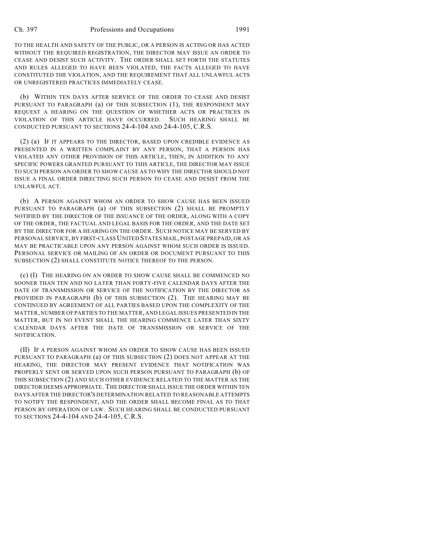TO THE HEALTH AND SAFETY OF THE PUBLIC, OR A PERSON IS ACTING OR HAS ACTED WITHOUT THE REQUIRED REGISTRATION, THE DIRECTOR MAY ISSUE AN ORDER TO CEASE AND DESIST SUCH ACTIVITY. THE ORDER SHALL SET FORTH THE STATUTES AND RULES ALLEGED TO HAVE BEEN VIOLATED, THE FACTS ALLEGED TO HAVE CONSTITUTED THE VIOLATION, AND THE REQUIREMENT THAT ALL UNLAWFUL ACTS OR UNREGISTERED PRACTICES IMMEDIATELY CEASE.

(b) WITHIN TEN DAYS AFTER SERVICE OF THE ORDER TO CEASE AND DESIST PURSUANT TO PARAGRAPH (a) OF THIS SUBSECTION (1), THE RESPONDENT MAY REQUEST A HEARING ON THE QUESTION OF WHETHER ACTS OR PRACTICES IN VIOLATION OF THIS ARTICLE HAVE OCCURRED. SUCH HEARING SHALL BE CONDUCTED PURSUANT TO SECTIONS 24-4-104 AND 24-4-105, C.R.S.

(2) (a) IF IT APPEARS TO THE DIRECTOR, BASED UPON CREDIBLE EVIDENCE AS PRESENTED IN A WRITTEN COMPLAINT BY ANY PERSON, THAT A PERSON HAS VIOLATED ANY OTHER PROVISION OF THIS ARTICLE, THEN, IN ADDITION TO ANY SPECIFIC POWERS GRANTED PURSUANT TO THIS ARTICLE, THE DIRECTOR MAY ISSUE TO SUCH PERSON AN ORDER TO SHOW CAUSE AS TO WHY THE DIRECTOR SHOULD NOT ISSUE A FINAL ORDER DIRECTING SUCH PERSON TO CEASE AND DESIST FROM THE UNLAWFUL ACT.

(b) A PERSON AGAINST WHOM AN ORDER TO SHOW CAUSE HAS BEEN ISSUED PURSUANT TO PARAGRAPH (a) OF THIS SUBSECTION (2) SHALL BE PROMPTLY NOTIFIED BY THE DIRECTOR OF THE ISSUANCE OF THE ORDER, ALONG WITH A COPY OF THE ORDER, THE FACTUAL AND LEGAL BASIS FOR THE ORDER, AND THE DATE SET BY THE DIRECTOR FOR A HEARING ON THE ORDER. SUCH NOTICE MAY BE SERVED BY PERSONAL SERVICE, BY FIRST-CLASS UNITED STATES MAIL, POSTAGE PREPAID, OR AS MAY BE PRACTICABLE UPON ANY PERSON AGAINST WHOM SUCH ORDER IS ISSUED. PERSONAL SERVICE OR MAILING OF AN ORDER OR DOCUMENT PURSUANT TO THIS SUBSECTION (2) SHALL CONSTITUTE NOTICE THEREOF TO THE PERSON.

(c) (I) THE HEARING ON AN ORDER TO SHOW CAUSE SHALL BE COMMENCED NO SOONER THAN TEN AND NO LATER THAN FORTY-FIVE CALENDAR DAYS AFTER THE DATE OF TRANSMISSION OR SERVICE OF THE NOTIFICATION BY THE DIRECTOR AS PROVIDED IN PARAGRAPH (b) OF THIS SUBSECTION (2). THE HEARING MAY BE CONTINUED BY AGREEMENT OF ALL PARTIES BASED UPON THE COMPLEXITY OF THE MATTER, NUMBER OF PARTIES TO THE MATTER, AND LEGAL ISSUES PRESENTED IN THE MATTER, BUT IN NO EVENT SHALL THE HEARING COMMENCE LATER THAN SIXTY CALENDAR DAYS AFTER THE DATE OF TRANSMISSION OR SERVICE OF THE NOTIFICATION.

(II) IF A PERSON AGAINST WHOM AN ORDER TO SHOW CAUSE HAS BEEN ISSUED PURSUANT TO PARAGRAPH (a) OF THIS SUBSECTION (2) DOES NOT APPEAR AT THE HEARING, THE DIRECTOR MAY PRESENT EVIDENCE THAT NOTIFICATION WAS PROPERLY SENT OR SERVED UPON SUCH PERSON PURSUANT TO PARAGRAPH (b) OF THIS SUBSECTION (2) AND SUCH OTHER EVIDENCE RELATED TO THE MATTER AS THE DIRECTOR DEEMS APPROPRIATE. THE DIRECTOR SHALL ISSUE THE ORDER WITHIN TEN DAYS AFTER THE DIRECTOR'S DETERMINATION RELATED TO REASONABLE ATTEMPTS TO NOTIFY THE RESPONDENT, AND THE ORDER SHALL BECOME FINAL AS TO THAT PERSON BY OPERATION OF LAW. SUCH HEARING SHALL BE CONDUCTED PURSUANT TO SECTIONS 24-4-104 AND 24-4-105, C.R.S.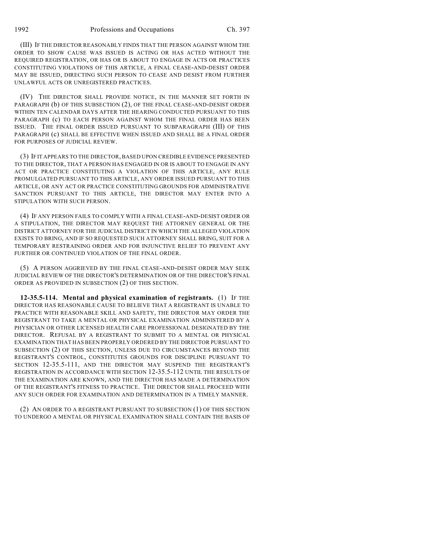(III) IF THE DIRECTOR REASONABLY FINDS THAT THE PERSON AGAINST WHOM THE ORDER TO SHOW CAUSE WAS ISSUED IS ACTING OR HAS ACTED WITHOUT THE REQUIRED REGISTRATION, OR HAS OR IS ABOUT TO ENGAGE IN ACTS OR PRACTICES CONSTITUTING VIOLATIONS OF THIS ARTICLE, A FINAL CEASE-AND-DESIST ORDER MAY BE ISSUED, DIRECTING SUCH PERSON TO CEASE AND DESIST FROM FURTHER UNLAWFUL ACTS OR UNREGISTERED PRACTICES.

(IV) THE DIRECTOR SHALL PROVIDE NOTICE, IN THE MANNER SET FORTH IN PARAGRAPH (b) OF THIS SUBSECTION (2), OF THE FINAL CEASE-AND-DESIST ORDER WITHIN TEN CALENDAR DAYS AFTER THE HEARING CONDUCTED PURSUANT TO THIS PARAGRAPH (c) TO EACH PERSON AGAINST WHOM THE FINAL ORDER HAS BEEN ISSUED. THE FINAL ORDER ISSUED PURSUANT TO SUBPARAGRAPH (III) OF THIS PARAGRAPH (c) SHALL BE EFFECTIVE WHEN ISSUED AND SHALL BE A FINAL ORDER FOR PURPOSES OF JUDICIAL REVIEW.

(3) IF IT APPEARS TO THE DIRECTOR, BASED UPON CREDIBLE EVIDENCE PRESENTED TO THE DIRECTOR, THAT A PERSON HAS ENGAGED IN OR IS ABOUT TO ENGAGE IN ANY ACT OR PRACTICE CONSTITUTING A VIOLATION OF THIS ARTICLE, ANY RULE PROMULGATED PURSUANT TO THIS ARTICLE, ANY ORDER ISSUED PURSUANT TO THIS ARTICLE, OR ANY ACT OR PRACTICE CONSTITUTING GROUNDS FOR ADMINISTRATIVE SANCTION PURSUANT TO THIS ARTICLE, THE DIRECTOR MAY ENTER INTO A STIPULATION WITH SUCH PERSON.

(4) IF ANY PERSON FAILS TO COMPLY WITH A FINAL CEASE-AND-DESIST ORDER OR A STIPULATION, THE DIRECTOR MAY REQUEST THE ATTORNEY GENERAL OR THE DISTRICT ATTORNEY FOR THE JUDICIAL DISTRICT IN WHICH THE ALLEGED VIOLATION EXISTS TO BRING, AND IF SO REQUESTED SUCH ATTORNEY SHALL BRING, SUIT FOR A TEMPORARY RESTRAINING ORDER AND FOR INJUNCTIVE RELIEF TO PREVENT ANY FURTHER OR CONTINUED VIOLATION OF THE FINAL ORDER.

(5) A PERSON AGGRIEVED BY THE FINAL CEASE-AND-DESIST ORDER MAY SEEK JUDICIAL REVIEW OF THE DIRECTOR'S DETERMINATION OR OF THE DIRECTOR'S FINAL ORDER AS PROVIDED IN SUBSECTION (2) OF THIS SECTION.

**12-35.5-114. Mental and physical examination of registrants.** (1) IF THE DIRECTOR HAS REASONABLE CAUSE TO BELIEVE THAT A REGISTRANT IS UNABLE TO PRACTICE WITH REASONABLE SKILL AND SAFETY, THE DIRECTOR MAY ORDER THE REGISTRANT TO TAKE A MENTAL OR PHYSICAL EXAMINATION ADMINISTERED BY A PHYSICIAN OR OTHER LICENSED HEALTH CARE PROFESSIONAL DESIGNATED BY THE DIRECTOR. REFUSAL BY A REGISTRANT TO SUBMIT TO A MENTAL OR PHYSICAL EXAMINATION THAT HAS BEEN PROPERLY ORDERED BY THE DIRECTOR PURSUANT TO SUBSECTION (2) OF THIS SECTION, UNLESS DUE TO CIRCUMSTANCES BEYOND THE REGISTRANT'S CONTROL, CONSTITUTES GROUNDS FOR DISCIPLINE PURSUANT TO SECTION 12-35.5-111, AND THE DIRECTOR MAY SUSPEND THE REGISTRANT'S REGISTRATION IN ACCORDANCE WITH SECTION 12-35.5-112 UNTIL THE RESULTS OF THE EXAMINATION ARE KNOWN, AND THE DIRECTOR HAS MADE A DETERMINATION OF THE REGISTRANT'S FITNESS TO PRACTICE. THE DIRECTOR SHALL PROCEED WITH ANY SUCH ORDER FOR EXAMINATION AND DETERMINATION IN A TIMELY MANNER.

(2) AN ORDER TO A REGISTRANT PURSUANT TO SUBSECTION (1) OF THIS SECTION TO UNDERGO A MENTAL OR PHYSICAL EXAMINATION SHALL CONTAIN THE BASIS OF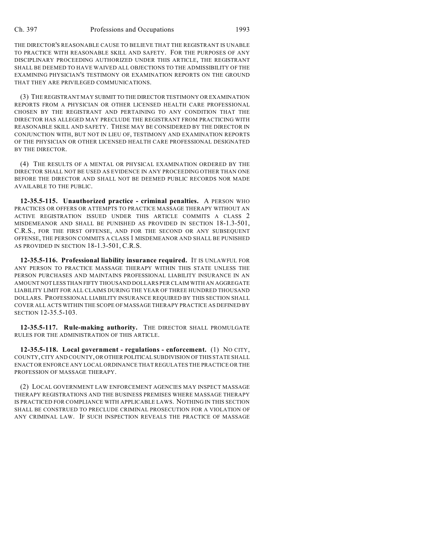THE DIRECTOR'S REASONABLE CAUSE TO BELIEVE THAT THE REGISTRANT IS UNABLE TO PRACTICE WITH REASONABLE SKILL AND SAFETY. FOR THE PURPOSES OF ANY DISCIPLINARY PROCEEDING AUTHORIZED UNDER THIS ARTICLE, THE REGISTRANT SHALL BE DEEMED TO HAVE WAIVED ALL OBJECTIONS TO THE ADMISSIBILITY OF THE EXAMINING PHYSICIAN'S TESTIMONY OR EXAMINATION REPORTS ON THE GROUND THAT THEY ARE PRIVILEGED COMMUNICATIONS.

(3) THE REGISTRANT MAY SUBMIT TO THE DIRECTOR TESTIMONY OR EXAMINATION REPORTS FROM A PHYSICIAN OR OTHER LICENSED HEALTH CARE PROFESSIONAL CHOSEN BY THE REGISTRANT AND PERTAINING TO ANY CONDITION THAT THE DIRECTOR HAS ALLEGED MAY PRECLUDE THE REGISTRANT FROM PRACTICING WITH REASONABLE SKILL AND SAFETY. THESE MAY BE CONSIDERED BY THE DIRECTOR IN CONJUNCTION WITH, BUT NOT IN LIEU OF, TESTIMONY AND EXAMINATION REPORTS OF THE PHYSICIAN OR OTHER LICENSED HEALTH CARE PROFESSIONAL DESIGNATED BY THE DIRECTOR.

(4) THE RESULTS OF A MENTAL OR PHYSICAL EXAMINATION ORDERED BY THE DIRECTOR SHALL NOT BE USED AS EVIDENCE IN ANY PROCEEDING OTHER THAN ONE BEFORE THE DIRECTOR AND SHALL NOT BE DEEMED PUBLIC RECORDS NOR MADE AVAILABLE TO THE PUBLIC.

**12-35.5-115. Unauthorized practice - criminal penalties.** A PERSON WHO PRACTICES OR OFFERS OR ATTEMPTS TO PRACTICE MASSAGE THERAPY WITHOUT AN ACTIVE REGISTRATION ISSUED UNDER THIS ARTICLE COMMITS A CLASS 2 MISDEMEANOR AND SHALL BE PUNISHED AS PROVIDED IN SECTION 18-1.3-501, C.R.S., FOR THE FIRST OFFENSE, AND FOR THE SECOND OR ANY SUBSEQUENT OFFENSE, THE PERSON COMMITS A CLASS 1 MISDEMEANOR AND SHALL BE PUNISHED AS PROVIDED IN SECTION 18-1.3-501, C.R.S.

**12-35.5-116. Professional liability insurance required.** IT IS UNLAWFUL FOR ANY PERSON TO PRACTICE MASSAGE THERAPY WITHIN THIS STATE UNLESS THE PERSON PURCHASES AND MAINTAINS PROFESSIONAL LIABILITY INSURANCE IN AN AMOUNT NOT LESS THAN FIFTY THOUSAND DOLLARS PER CLAIM WITH AN AGGREGATE LIABILITY LIMIT FOR ALL CLAIMS DURING THE YEAR OF THREE HUNDRED THOUSAND DOLLARS. PROFESSIONAL LIABILITY INSURANCE REQUIRED BY THIS SECTION SHALL COVER ALL ACTS WITHIN THE SCOPE OF MASSAGE THERAPY PRACTICE AS DEFINED BY SECTION 12-35.5-103.

**12-35.5-117. Rule-making authority.** THE DIRECTOR SHALL PROMULGATE RULES FOR THE ADMINISTRATION OF THIS ARTICLE.

**12-35.5-118. Local government - regulations - enforcement.** (1) NO CITY, COUNTY, CITY AND COUNTY, OR OTHER POLITICAL SUBDIVISION OF THIS STATE SHALL ENACT OR ENFORCE ANY LOCAL ORDINANCE THAT REGULATES THE PRACTICE OR THE PROFESSION OF MASSAGE THERAPY.

(2) LOCAL GOVERNMENT LAW ENFORCEMENT AGENCIES MAY INSPECT MASSAGE THERAPY REGISTRATIONS AND THE BUSINESS PREMISES WHERE MASSAGE THERAPY IS PRACTICED FOR COMPLIANCE WITH APPLICABLE LAWS. NOTHING IN THIS SECTION SHALL BE CONSTRUED TO PRECLUDE CRIMINAL PROSECUTION FOR A VIOLATION OF ANY CRIMINAL LAW. IF SUCH INSPECTION REVEALS THE PRACTICE OF MASSAGE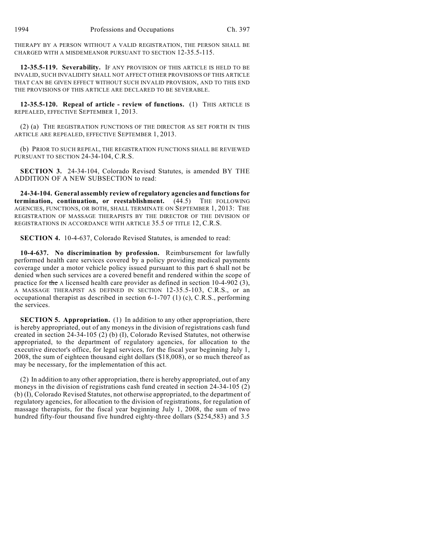THERAPY BY A PERSON WITHOUT A VALID REGISTRATION, THE PERSON SHALL BE CHARGED WITH A MISDEMEANOR PURSUANT TO SECTION 12-35.5-115.

**12-35.5-119. Severability.** IF ANY PROVISION OF THIS ARTICLE IS HELD TO BE INVALID, SUCH INVALIDITY SHALL NOT AFFECT OTHER PROVISIONS OF THIS ARTICLE THAT CAN BE GIVEN EFFECT WITHOUT SUCH INVALID PROVISION, AND TO THIS END THE PROVISIONS OF THIS ARTICLE ARE DECLARED TO BE SEVERABLE.

**12-35.5-120. Repeal of article - review of functions.** (1) THIS ARTICLE IS REPEALED, EFFECTIVE SEPTEMBER 1, 2013.

(2) (a) THE REGISTRATION FUNCTIONS OF THE DIRECTOR AS SET FORTH IN THIS ARTICLE ARE REPEALED, EFFECTIVE SEPTEMBER 1, 2013.

(b) PRIOR TO SUCH REPEAL, THE REGISTRATION FUNCTIONS SHALL BE REVIEWED PURSUANT TO SECTION 24-34-104, C.R.S.

**SECTION 3.** 24-34-104, Colorado Revised Statutes, is amended BY THE ADDITION OF A NEW SUBSECTION to read:

**24-34-104. General assembly review of regulatory agencies and functions for termination, continuation, or reestablishment.** (44.5) THE FOLLOWING AGENCIES, FUNCTIONS, OR BOTH, SHALL TERMINATE ON SEPTEMBER 1, 2013: THE REGISTRATION OF MASSAGE THERAPISTS BY THE DIRECTOR OF THE DIVISION OF REGISTRATIONS IN ACCORDANCE WITH ARTICLE 35.5 OF TITLE 12, C.R.S.

**SECTION 4.** 10-4-637, Colorado Revised Statutes, is amended to read:

**10-4-637. No discrimination by profession.** Reimbursement for lawfully performed health care services covered by a policy providing medical payments coverage under a motor vehicle policy issued pursuant to this part 6 shall not be denied when such services are a covered benefit and rendered within the scope of practice for the A licensed health care provider as defined in section 10-4-902 (3), A MASSAGE THERAPIST AS DEFINED IN SECTION 12-35.5-103, C.R.S., or an occupational therapist as described in section 6-1-707 (1) (c), C.R.S., performing the services.

**SECTION 5. Appropriation.** (1) In addition to any other appropriation, there is hereby appropriated, out of any moneys in the division of registrations cash fund created in section 24-34-105 (2) (b) (I), Colorado Revised Statutes, not otherwise appropriated, to the department of regulatory agencies, for allocation to the executive director's office, for legal services, for the fiscal year beginning July 1, 2008, the sum of eighteen thousand eight dollars (\$18,008), or so much thereof as may be necessary, for the implementation of this act.

(2) In addition to any other appropriation, there is hereby appropriated, out of any moneys in the division of registrations cash fund created in section 24-34-105 (2) (b) (I), Colorado Revised Statutes, not otherwise appropriated, to the department of regulatory agencies, for allocation to the division of registrations, for regulation of massage therapists, for the fiscal year beginning July 1, 2008, the sum of two hundred fifty-four thousand five hundred eighty-three dollars (\$254,583) and 3.5